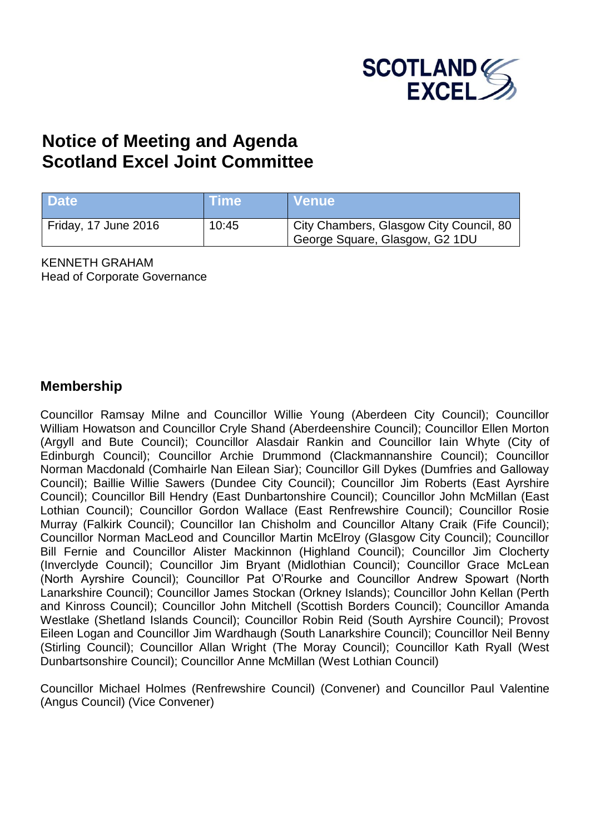

# **Notice of Meeting and Agenda Scotland Excel Joint Committee**

| <b>Date</b>          | ∖Time\ | N Venue \                                                                 |
|----------------------|--------|---------------------------------------------------------------------------|
| Friday, 17 June 2016 | 10:45  | City Chambers, Glasgow City Council, 80<br>George Square, Glasgow, G2 1DU |

KENNETH GRAHAM Head of Corporate Governance

#### **Membership**

Councillor Ramsay Milne and Councillor Willie Young (Aberdeen City Council); Councillor William Howatson and Councillor Cryle Shand (Aberdeenshire Council); Councillor Ellen Morton (Argyll and Bute Council); Councillor Alasdair Rankin and Councillor Iain Whyte (City of Edinburgh Council); Councillor Archie Drummond (Clackmannanshire Council); Councillor Norman Macdonald (Comhairle Nan Eilean Siar); Councillor Gill Dykes (Dumfries and Galloway Council); Baillie Willie Sawers (Dundee City Council); Councillor Jim Roberts (East Ayrshire Council); Councillor Bill Hendry (East Dunbartonshire Council); Councillor John McMillan (East Lothian Council); Councillor Gordon Wallace (East Renfrewshire Council); Councillor Rosie Murray (Falkirk Council); Councillor Ian Chisholm and Councillor Altany Craik (Fife Council); Councillor Norman MacLeod and Councillor Martin McElroy (Glasgow City Council); Councillor Bill Fernie and Councillor Alister Mackinnon (Highland Council); Councillor Jim Clocherty (Inverclyde Council); Councillor Jim Bryant (Midlothian Council); Councillor Grace McLean (North Ayrshire Council); Councillor Pat O'Rourke and Councillor Andrew Spowart (North Lanarkshire Council); Councillor James Stockan (Orkney Islands); Councillor John Kellan (Perth and Kinross Council); Councillor John Mitchell (Scottish Borders Council); Councillor Amanda Westlake (Shetland Islands Council); Councillor Robin Reid (South Ayrshire Council); Provost Eileen Logan and Councillor Jim Wardhaugh (South Lanarkshire Council); Councillor Neil Benny (Stirling Council); Councillor Allan Wright (The Moray Council); Councillor Kath Ryall (West Dunbartsonshire Council); Councillor Anne McMillan (West Lothian Council)

Councillor Michael Holmes (Renfrewshire Council) (Convener) and Councillor Paul Valentine (Angus Council) (Vice Convener)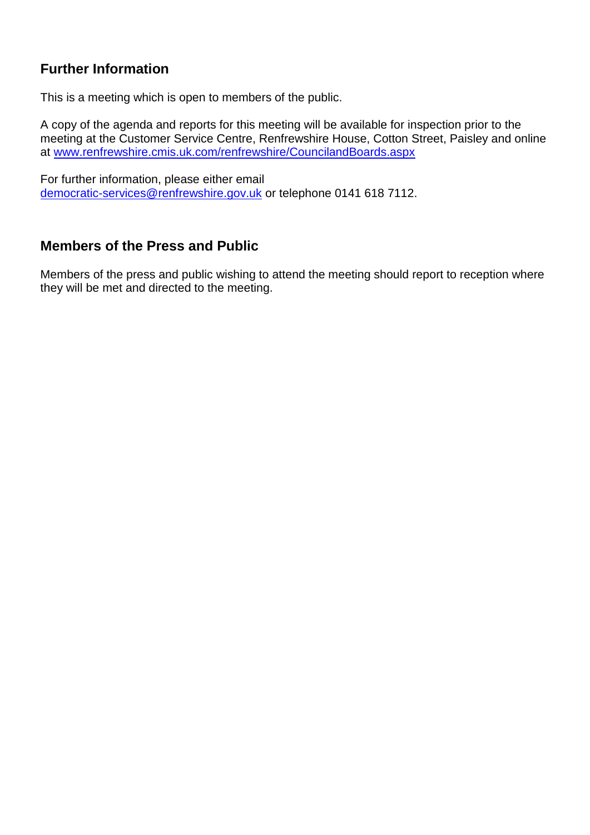## **Further Information**

This is a meeting which is open to members of the public.

A copy of the agenda and reports for this meeting will be available for inspection prior to the meeting at the Customer Service Centre, Renfrewshire House, Cotton Street, Paisley and online at [www.renfrewshire.cmis.uk.com/renfrewshire/CouncilandBoards.aspx](http://www.renfrewshire.cmis.uk.com/renfrewshire/CouncilandBoards.aspx)

For further information, please either email [democratic-services@renfrewshire.gov.uk](mailto:democratic-services@renfrewshire.gov.uk) or telephone 0141 618 7112.

#### **Members of the Press and Public**

Members of the press and public wishing to attend the meeting should report to reception where they will be met and directed to the meeting.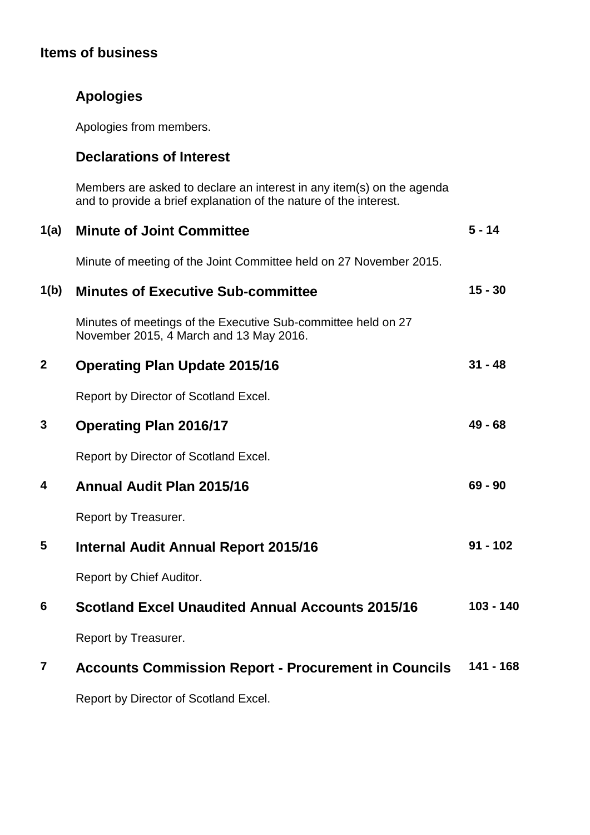# **Items of business**

|  | <b>Apologies</b> |
|--|------------------|
|  |                  |

Apologies from members.

### **Declarations of Interest**

Members are asked to declare an interest in any item(s) on the agenda and to provide a brief explanation of the nature of the interest.

| 1(a)           | <b>Minute of Joint Committee</b>                                                                         | $5 - 14$    |
|----------------|----------------------------------------------------------------------------------------------------------|-------------|
|                | Minute of meeting of the Joint Committee held on 27 November 2015.                                       |             |
| 1(b)           | <b>Minutes of Executive Sub-committee</b>                                                                | $15 - 30$   |
|                | Minutes of meetings of the Executive Sub-committee held on 27<br>November 2015, 4 March and 13 May 2016. |             |
| $\mathbf{2}$   | <b>Operating Plan Update 2015/16</b>                                                                     | $31 - 48$   |
|                | Report by Director of Scotland Excel.                                                                    |             |
| 3              | <b>Operating Plan 2016/17</b>                                                                            | $49 - 68$   |
|                | Report by Director of Scotland Excel.                                                                    |             |
| 4              | <b>Annual Audit Plan 2015/16</b>                                                                         | $69 - 90$   |
|                | Report by Treasurer.                                                                                     |             |
| 5              | <b>Internal Audit Annual Report 2015/16</b>                                                              | $91 - 102$  |
|                | Report by Chief Auditor.                                                                                 |             |
| 6              | <b>Scotland Excel Unaudited Annual Accounts 2015/16</b>                                                  | $103 - 140$ |
|                | Report by Treasurer.                                                                                     |             |
| $\overline{7}$ | <b>Accounts Commission Report - Procurement in Councils</b>                                              | $141 - 168$ |
|                |                                                                                                          |             |

Report by Director of Scotland Excel.